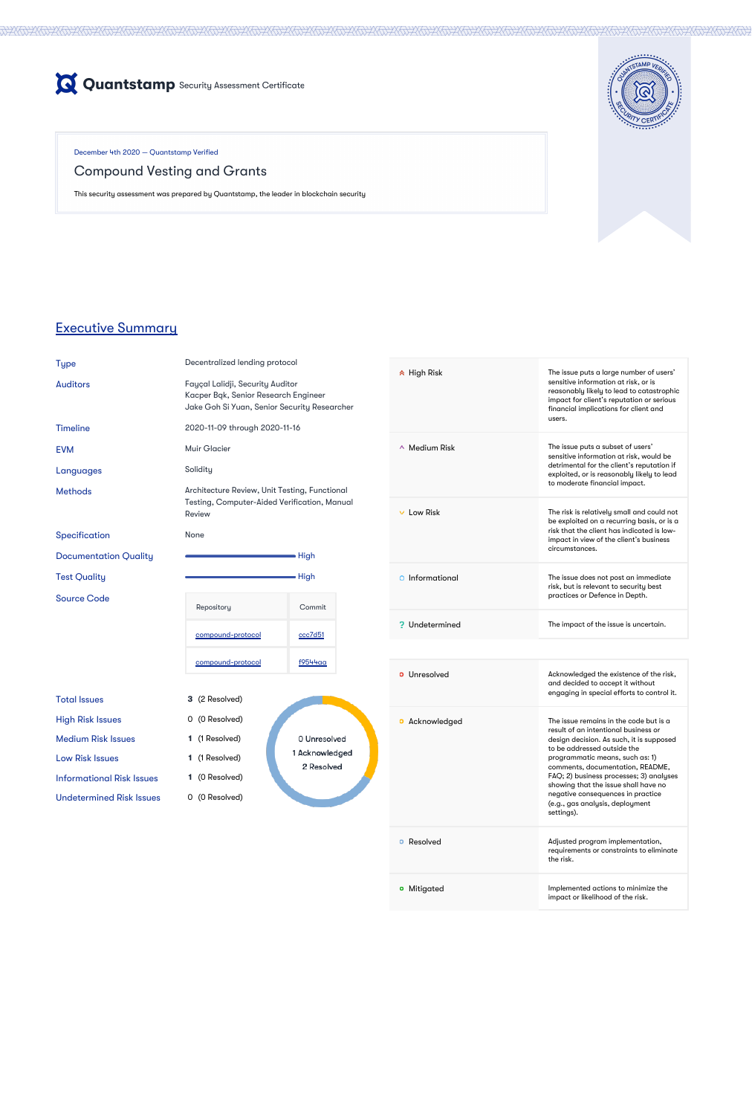

December 4th 2020 — Quantstamp Verified

# Compound Vesting and Grants

This security assessment was prepared by Quantstamp, the leader in blockchain security



## Executive Summary

| Ш<br>H |  |
|--------|--|
|        |  |

e **Type Decentralized lending protocol** 

Testing, Computer-Aided Verification, Manual Review None Repository **Commit** [compound-protocol](https://github.com/GauntletNetworks/compound-protocol/tree/gauntlet/vesting) [ccc7d51](https://github.com/compound-finance/compound-protocol/tree/ccc7d510553cea26af89abd01274d583acae2ff3) [compound-protocol](https://github.com/GauntletNetworks/compound-protocol/tree/f9544aa9f91e85cf5331e571a5703f094f6e8e66) [f9544aa](https://github.com/compound-finance/compound-protocol/tree/f9544aa9f91e85cf5331e571a5703f094f6e8e66) **3** (2 Resolved) 0 (0 Resolved) **1** (1 Resolved) 1 Acknowledged Low Risk Issues **1** (1 Resolved) Informational Risk Issues **1** (0 Resolved) Undetermined Risk Issues 0 (0 Resolved)

2 Resolved

Auditors Fayçal Lalidji, Security Auditor Kacper Bąk, Senior Research Engineer Jake Goh Si Yuan, Senior Security Researcher

|                              | s on or <i>r</i> aan, somor sesameg necesi one                                                                       |                |  |  |
|------------------------------|----------------------------------------------------------------------------------------------------------------------|----------------|--|--|
| <b>Timeline</b>              | 2020-11-09 through 2020-11-16                                                                                        |                |  |  |
| <b>EVM</b>                   | <b>Muir Glacier</b>                                                                                                  |                |  |  |
| Languages                    | Solidity                                                                                                             |                |  |  |
| <b>Methods</b>               | Architecture Review, Unit Testing, Functional<br><b>Testing, Computer-Aided Verification, Manuc</b><br><b>Review</b> |                |  |  |
| Specification                | <b>None</b>                                                                                                          |                |  |  |
| <b>Documentation Quality</b> |                                                                                                                      | High           |  |  |
| <b>Test Quality</b>          |                                                                                                                      | High           |  |  |
| <b>Source Code</b>           | Repository                                                                                                           | Commit         |  |  |
|                              | compound-protocol                                                                                                    | <u>ccc7d51</u> |  |  |
|                              | compound-protocol                                                                                                    | <u>f9544aa</u> |  |  |
| <b>Total Issues</b>          | 3 (2 Resolved)                                                                                                       |                |  |  |
| <b>High Risk Issues</b>      | 0 (0 Resolved)                                                                                                       |                |  |  |
| <b>Medium Risk Issues</b>    | 1 (1 Resolved)                                                                                                       | 0 Unresolved   |  |  |

High Risk The issue puts a large number of users' sensitive information at risk, or is reasonably likely to lead to catastrophic impact for client's reputation or serious financial implications for client and

|                       | users.                                                                                                                                                                                                                                                                                                                                                                                                    |
|-----------------------|-----------------------------------------------------------------------------------------------------------------------------------------------------------------------------------------------------------------------------------------------------------------------------------------------------------------------------------------------------------------------------------------------------------|
| $\sim$ Medium Risk    | The issue puts a subset of users'<br>sensitive information at risk, would be<br>detrimental for the client's reputation if<br>exploited, or is reasonably likely to lead<br>to moderate financial impact.                                                                                                                                                                                                 |
| Low Risk              | The risk is relatively small and could not<br>be exploited on a recurring basis, or is a<br>risk that the client has indicated is low-<br>impact in view of the client's business<br>circumstances.                                                                                                                                                                                                       |
| Informational         | The issue does not post an immediate<br>risk, but is relevant to security best<br>practices or Defence in Depth.                                                                                                                                                                                                                                                                                          |
| <b>P</b> Undetermined | The impact of the issue is uncertain.                                                                                                                                                                                                                                                                                                                                                                     |
|                       |                                                                                                                                                                                                                                                                                                                                                                                                           |
| Unresolved            | Acknowledged the existence of the risk,<br>and decided to accept it without<br>engaging in special efforts to control it.                                                                                                                                                                                                                                                                                 |
| Acknowledged          | The issue remains in the code but is a<br>result of an intentional business or<br>design decision. As such, it is supposed<br>to be addressed outside the<br>programmatic means, such as: 1)<br>comments, documentation, README,<br>FAQ; 2) business processes; 3) analyses<br>showing that the issue shall have no<br>negative consequences in practice<br>(e.g., gas analysis, deployment<br>settings). |

| Resolved<br>o | Adjusted program implementation,<br>requirements or constraints to eliminate<br>the risk. |
|---------------|-------------------------------------------------------------------------------------------|
| • Mitigated   | Implemented actions to minimize the<br>impact or likelihood of the risk.                  |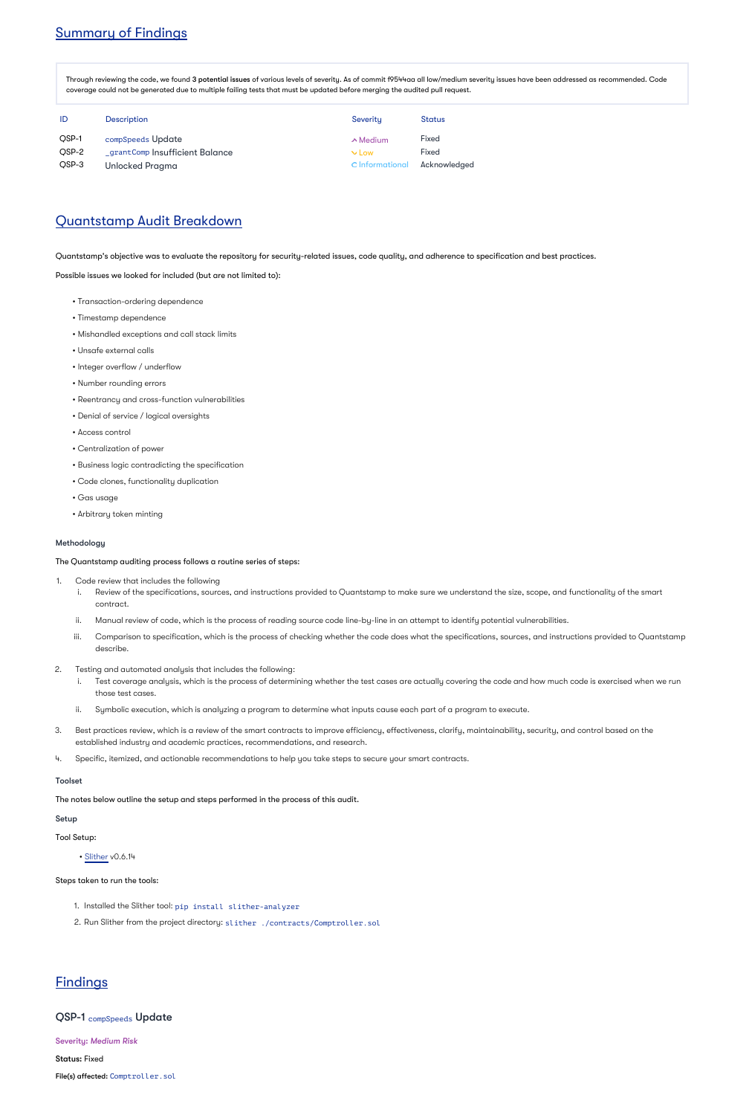# Summary of Findings

Through reviewing the code, we found **3 potential issues** of various levels of severity. As of commit f9544aa all low/medium severity issues have been addressed as recommended. Code coverage could not be generated due to multiple failing tests that must be updated before merging the audited pull request.

| ID           | <b>Description</b>              | Severity         | Status       |
|--------------|---------------------------------|------------------|--------------|
| <b>OSP-1</b> | compSpeeds Update               | $\land$ Medium   | <b>Fixed</b> |
| QSP-2        | _grantComp  nsufficient Balance | $V_{\text{low}}$ | <b>Fixed</b> |
| QSP-3        | <b>Unlocked Pragma</b>          | O Informational  | Acknowledged |

### Quantstamp Audit Breakdown

Quantstamp's objective was to evaluate the repository for security-related issues, code quality, and adherence to specification and best practices.

Possible issues we looked for included (but are not limited to):

- Transaction-ordering dependence
- Timestamp dependence
- Mishandled exceptions and call stack limits
- Unsafe external calls
- Integer overflow / underflow
- Number rounding errors
- Reentrancy and cross-function vulnerabilities
- Denial of service / logical oversights
- Access control
- Centralization of power
- Business logic contradicting the specification
- Code clones, functionality duplication
- Gas usage
- Arbitrary token minting

#### Methodology

The Quantstamp auditing process follows a routine series of steps:

- 1. Code review that includes the following
	- i. Review of the specifications, sources, and instructions provided to Quantstamp to make sure we understand the size, scope, and functionality of the smart contract.
	- ii. Manual review of code, which is the process of reading source code line-by-line in an attempt to identify potential vulnerabilities.
	- iii. Comparison to specification, which is the process of checking whether the code does what the specifications, sources, and instructions provided to Quantstamp describe.
- 2. Testing and automated analysis that includes the following:
	- i. Test coverage analysis, which is the process of determining whether the test cases are actually covering the code and how much code is exercised when we run those test cases.
	- ii. Symbolic execution, which is analyzing a program to determine what inputs cause each part of a program to execute.
- 3. Best practices review, which is a review of the smart contracts to improve efficiency, effectiveness, clarify, maintainability, security, and control based on the established industry and academic practices, recommendations, and research.
- 4. Specific, itemized, and actionable recommendations to help you take steps to secure your smart contracts.

#### Toolset

The notes below outline the setup and steps performed in the process of this audit.

#### Setup

Tool Setup:

• [Slither](https://github.com/crytic/slither) v0.6.14

Steps taken to run the tools:

- 1. Installed the Slither tool: pip install slither-analyzer
- 2. Run Slither from the project directory: slither ./contracts/Comptroller.sol

# **Findings**

QSP-1 compSpeeds Update

Severity: *Medium Risk*

Status: Fixed

File(s) affected: Comptroller.sol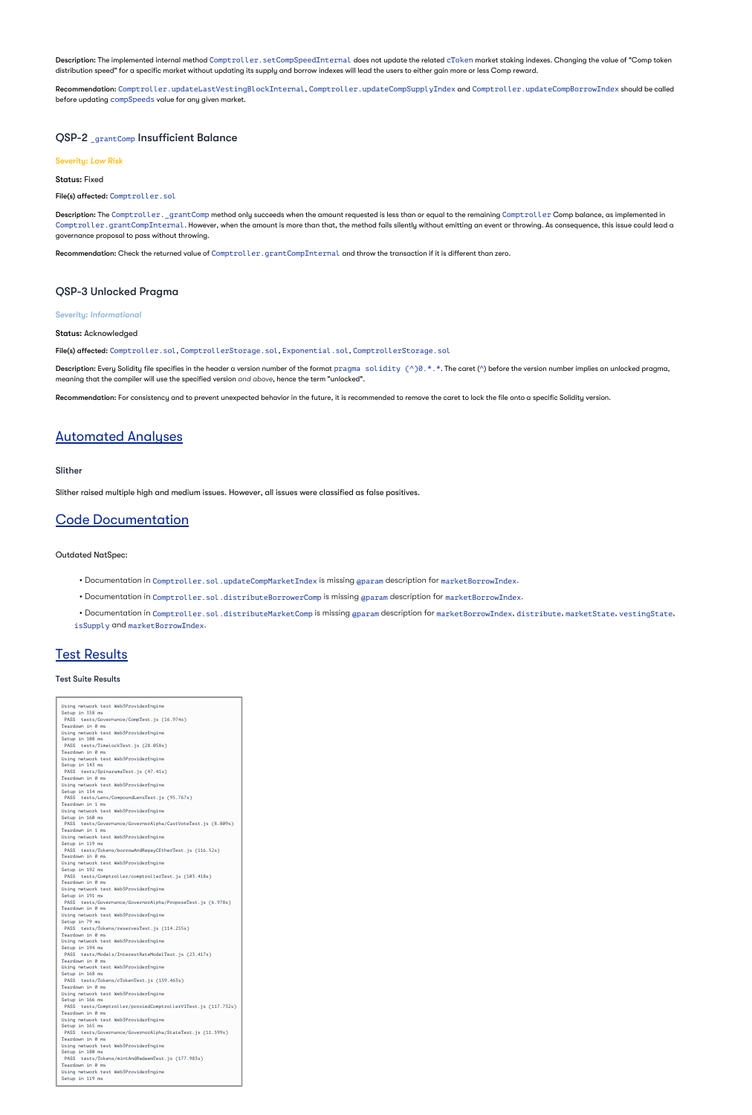Description: The implemented internal method Comptroller.setCompSpeedInternal does not update the related cToken market staking indexes. Changing the value of "Comp token distribution speed" for a specific market without updating its supply and borrow indexes will lead the users to either gain more or less Comp reward.

 $\sf Recommendation:$   $\sf Comptroller$  .updateLastVestingBlockInternal, <code>Comptroller.updateCompSupplyIndex</code> and <code>Comptroller.updateCompBorrowIndex</code> should be called before updating compSpeeds value for any given market.

### QSP-2 \_grantComp Insufficient Balance

**Description:** The Comptroller.\_grantComp method only succeeds when the amount requested is less than or equal to the remaining Comptroller Comp balance, as implemented in Comptroller.grantCompInternal. However, when the amount is more than that, the method fails silently without emitting an event or throwing. As consequence, this issue could lead a governance proposal to pass without throwing.

Recommendation: Check the returned value of Comptroller.grantCompInternal and throw the transaction if it is different than zero.

#### Severity: *Low Risk*

Status: Fixed

File(s) affected: Comptroller.sol

### QSP-3 Unlocked Pragma

Severity: *Informational*

Status: Acknowledged

File(s) affected: Comptroller.sol, ComptrollerStorage.sol, Exponential.sol, ComptrollerStorage.sol

**Description:** Every Solidity file specifies in the header a version number of the format  $\text{pragma}$  solidity (^)0.\*.\*. The caret (^) before the version number implies an unlocked pragma, meaning that the compiler will use the specified version and above, hence the term "unlocked".

Recommendation: For consistency and to prevent unexpected behavior in the future, it is recommended to remove the caret to lock the file onto a specific Solidity version.

# Automated Analyses

#### Slither

Slither raised multiple high and medium issues. However, all issues were classified as false positives.

# Code Documentation

Outdated NatSpec:

- Documentation in Comptroller.sol.updateCompMarketIndex is missing @param description for marketBorrowIndex.
- Documentation in Comptroller.sol.distributeBorrowerComp is missing @param description for marketBorrowIndex.

• Documentation in Comptroller.sol.distributeMarketComp is missing @param description for marketBorrowIndex,distribute,marketState,vestingState, isSupply and marketBorrowIndex.

### **Test Results**

#### Test Suite Results

Using network test Web3ProviderEngine Setup in 358 ms PASS tests/Governance/CompTest.js (16.974s) Teardown in 0 ms Using network test Web3ProviderEngine Setup in 108 ms PASS tests/TimelockTest.js (28.058s) Teardown in 0 ms Using network test Web3ProviderEngine Setup in 143 ms PASS tests/SpinaramaTest.js (47.41s) Teardown in 0 ms Using network test Web3ProviderEngine Setup in 154 ms PASS tests/Lens/CompoundLensTest.js (95.767s) Teardown in 1 ms Using network test Web3ProviderEngine Setup in 160 ms PASS tests/Governance/GovernorAlpha/CastVoteTest.js (8.809s) Teardown in 1 ms

Using network test Web3ProviderEngine Setup in 119 ms PASS tests/Tokens/borrowAndRepayCEtherTest.js (116.52s) Teardown in 0 ms Using network test Web3ProviderEngine Setup in 192 ms PASS tests/Comptroller/comptrollerTest.js (103.418s) Teardown in 0 ms Using network test Web3ProviderEngine Setup in 191 ms PASS tests/Governance/GovernorAlpha/ProposeTest.js (6.978s) Teardown in 0 ms Using network test Web3ProviderEngine Setup in 79 ms PASS tests/Tokens/reservesTest.js (114.255s) Teardown in 0 ms Using network test Web3ProviderEngine Setup in 194 ms PASS tests/Models/InterestRateModelTest.js (23.417s) Teardown in 0 ms Using network test Web3ProviderEngine Setup in 168 ms PASS tests/Tokens/cTokenTest.js (159.463s) Teardown in 0 ms Using network test Web3ProviderEngine Setup in 166 ms PASS tests/Comptroller/proxiedComptrollerV1Test.js (117.732s) Teardown in 0 ms Using network test Web3ProviderEngine Setup in 165 ms PASS tests/Governance/GovernorAlpha/StateTest.js (11.599s) Teardown in 0 ms Using network test Web3ProviderEngine Setup in 180 ms PASS tests/Tokens/mintAndRedeemTest.js (177.983s) Teardown in 0 ms Using network test Web3ProviderEngine Setup in 119 ms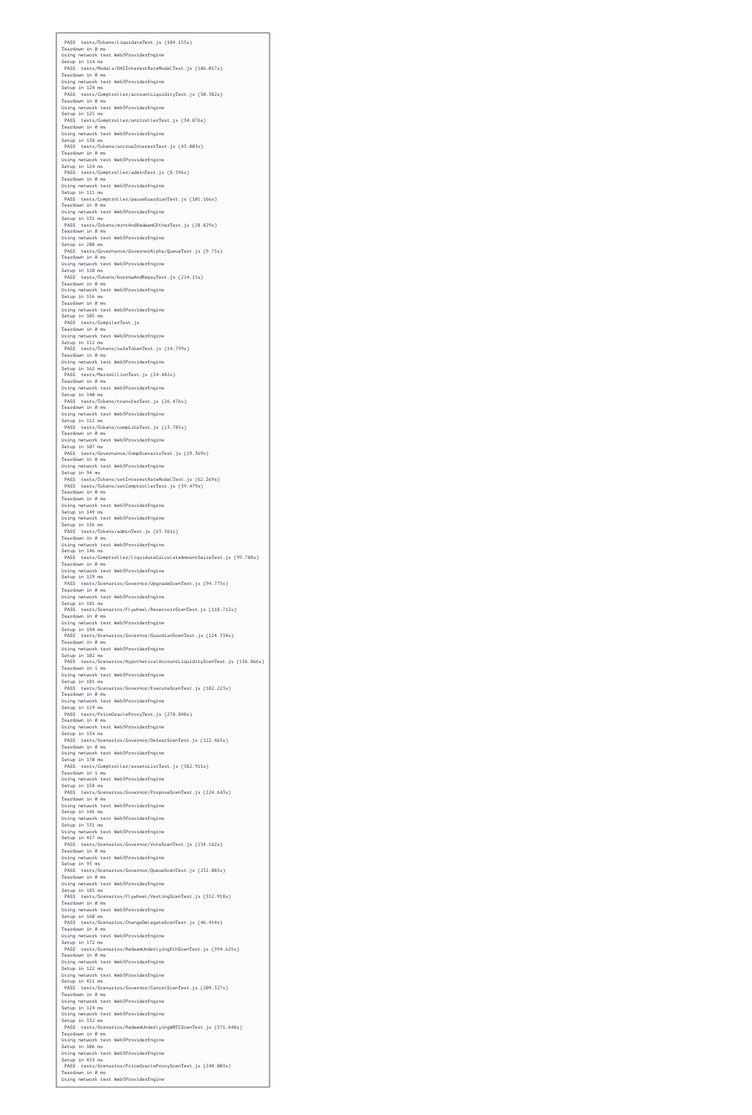PASS tests/Tokens/liquidateTest.js (184.155s) Teardown in 0 ms Using network test Web3ProviderEngine Setup in 114 ms PASS tests/Models/DAIInterestRateModelTest.js (186.017s) Teardown in 0 ms Using network test Web3ProviderEngine Setup in 124 ms PASS tests/Comptroller/accountLiquidityTest.js (50.382s) Teardown in 0 ms Using network test Web3ProviderEngine Setup in 125 ms PASS tests/Comptroller/unitrollerTest.js (34.876s) Teardown in 0 ms Using network test Web3ProviderEngine Setup in 138 ms PASS tests/Tokens/accrueInterestTest.js (43.803s) Teardown in 0 ms Using network test Web3ProviderEngine Setup in 124 ms PASS tests/Comptroller/adminTest.js (8.596s) Teardown in 0 ms Using network test Web3ProviderEngine Setup in 111 ms PASS tests/Comptroller/pauseGuardianTest.js (101.166s) Teardown in 0 ms Using network test Web3ProviderEngine Setup in 131 ms PASS tests/Tokens/mintAndRedeemCEtherTest.js (28.829s) Teardown in 0 ms Using network test Web3ProviderEngine Setup in 208 ms PASS tests/Governance/GovernorAlpha/QueueTest.js (9.75s) Teardown in 0 ms Using network test Web3ProviderEngine Setup in 110 ms PASS tests/Tokens/borrowAndRepayTest.js (214.15s) Teardown in 0 ms Using network test Web3ProviderEngine Setup in 156 ms Teardown in 0 ms Using network test Web3ProviderEngine Setup in 105 ms PASS tests/CompilerTest.js Teardown in 0 ms Using network test Web3ProviderEngine Setup in 112 ms PASS tests/Tokens/safeTokenTest.js (14.799s) Teardown in 0 ms Using network test Web3ProviderEngine Setup in 162 ms PASS tests/MaximillionTest.js (24.482s) Teardown in 0 ms Using network test Web3ProviderEngine Setup in 140 ms PASS tests/Tokens/transferTest.js (26.476s) Teardown in 0 ms Using network test Web3ProviderEngine Setup in 112 ms PASS tests/Tokens/compLikeTest.js (13.785s) Teardown in 0 ms Using network test Web3ProviderEngine Setup in 107 ms PASS tests/Governance/CompScenarioTest.js (19.369s) Teardown in 0 ms Using network test Web3ProviderEngine Setup in 94 ms PASS tests/Tokens/setInterestRateModelTest.js (62.269s) PASS tests/Tokens/setComptrollerTest.js (39.479s) Teardown in 0 ms Teardown in 0 ms Using network test Web3ProviderEngine Setup in 149 ms Using network test Web3ProviderEngine Setup in 136 ms PASS tests/Tokens/adminTest.js (63.561s) Teardown in 0 ms Using network test Web3ProviderEngine Setup in 146 ms PASS tests/Comptroller/liquidateCalculateAmountSeizeTest.js (99.788s) Teardown in 0 ms Using network test Web3ProviderEngine Setup in 129 ms PASS tests/Scenarios/Governor/UpgradeScenTest.js (94.775s) Teardown in 0 ms Using network test Web3ProviderEngine Setup in 181 ms PASS tests/Scenarios/Flywheel/ReservoirScenTest.js (118.712s) Teardown in 0 ms Using network test Web3ProviderEngine Setup in 194 ms PASS tests/Scenarios/Governor/GuardianScenTest.js (114.334s) Teardown in 0 ms Using network test Web3ProviderEngine Setup in 102 ms PASS tests/Scenarios/HypotheticalAccountLiquidityScenTest.js (136.866s) Teardown in 1 ms Using network test Web3ProviderEngine Setup in 181 ms PASS tests/Scenarios/Governor/ExecuteScenTest.js (182.223s) Teardown in 0 ms Using network test Web3ProviderEngine Setup in 119 ms PASS tests/PriceOracleProxyTest.js (278.848s) Teardown in 0 ms Using network test Web3ProviderEngine Setup in 154 ms PASS tests/Scenarios/Governor/DefeatScenTest.js (122.465s) Teardown in 0 ms Using network test Web3ProviderEngine Setup in 170 ms PASS tests/Comptroller/assetsListTest.js (382.911s) Teardown in 1 ms Using network test Web3ProviderEngine Setup in 158 ms PASS tests/Scenarios/Governor/ProposeScenTest.js (224.643s) Teardown in 0 ms Using network test Web3ProviderEngine Setup in 146 ms Using network test Web3ProviderEngine Setup in 331 ms Using network test Web3ProviderEngine Setup in 417 ms PASS tests/Scenarios/Governor/VoteScenTest.js (154.162s) Teardown in 0 ms Using network test Web3ProviderEngine Setup in 93 ms PASS tests/Scenarios/Governor/QueueScenTest.js (232.085s) Teardown in 0 ms Using network test Web3ProviderEngine Setup in 185 ms PASS tests/Scenarios/Flywheel/VestingScenTest.js (352.918s) Teardown in 0 ms Using network test Web3ProviderEngine Setup in 160 ms PASS tests/Scenarios/ChangeDelegateScenTest.js (46.414s) Teardown in 0 ms Using network test Web3ProviderEngine Setup in 172 ms PASS tests/Scenarios/RedeemUnderlyingEthScenTest.js (394.625s) Teardown in 0 ms Using network test Web3ProviderEngine Setup in 122 ms Using network test Web3ProviderEngine Setup in 411 ms PASS tests/Scenarios/Governor/CancelScenTest.js (209.327s) Teardown in 0 ms Using network test Web3ProviderEngine Setup in 124 ms Using network test Web3ProviderEngine Setup in 332 ms PASS tests/Scenarios/RedeemUnderlyingWBTCScenTest.js (571.648s) Teardown in 0 ms Using network test Web3ProviderEngine Setup in 106 ms Using network test Web3ProviderEngine Setup in 453 ms PASS tests/Scenarios/PriceOracleProxyScenTest.js (248.003s) Teardown in 0 ms Using network test Web3ProviderEngine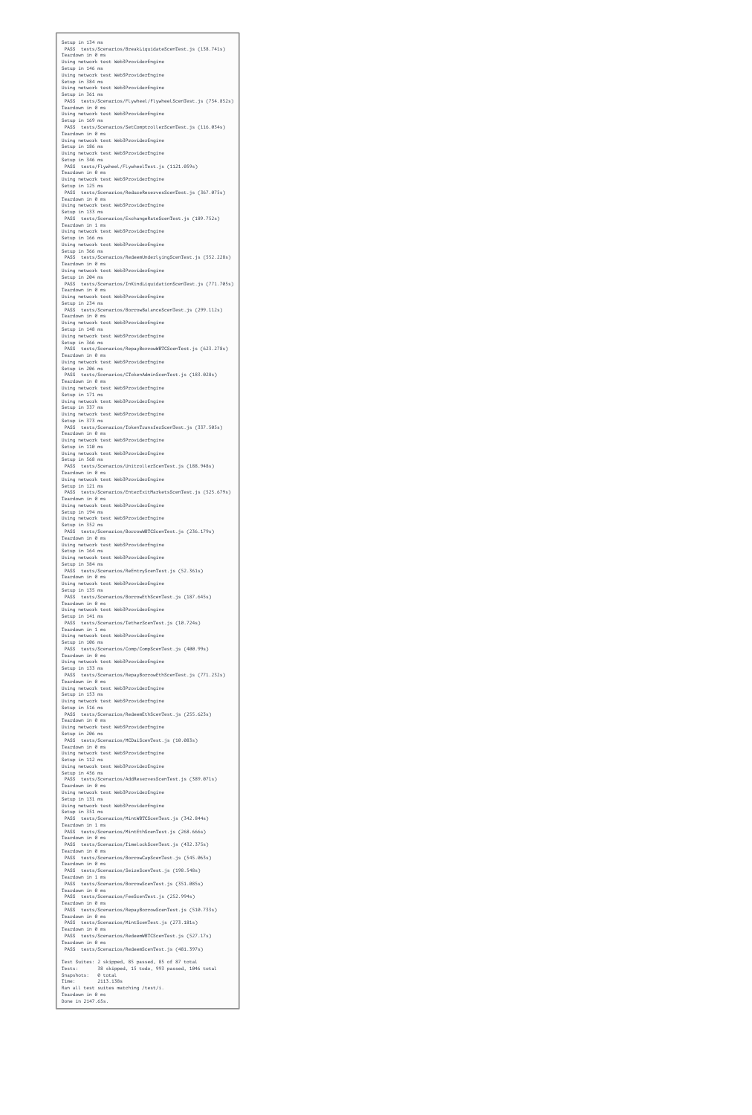Setup in 134 ms PASS tests/Scenarios/BreakLiquidateScenTest.js (138.741s) Teardown in 0 ms Using network test Web3ProviderEngine Setup in 146 ms Using network test Web3ProviderEngine Setup in 384 ms Using network test Web3ProviderEngine Setup in 361 ms PASS tests/Scenarios/Flywheel/FlywheelScenTest.js (734.852s) Teardown in 0 ms Using network test Web3ProviderEngine Setup in 169 ms PASS tests/Scenarios/SetComptrollerScenTest.js (116.034s) Teardown in 0 ms Using network test Web3ProviderEngine Setup in 186 ms Using network test Web3ProviderEngine Setup in 346 ms PASS tests/Flywheel/FlywheelTest.js (1121.059s) Teardown in 0 ms Using network test Web3ProviderEngine Setup in 125 ms PASS tests/Scenarios/ReduceReservesScenTest.js (367.075s) Teardown in 0 ms Using network test Web3ProviderEngine Setup in 133 ms PASS tests/Scenarios/ExchangeRateScenTest.js (189.752s) Teardown in 1 ms Using network test Web3ProviderEngine Setup in 166 ms Using network test Web3ProviderEngine Setup in 366 ms PASS tests/Scenarios/RedeemUnderlyingScenTest.js (552.228s) Teardown in 0 ms Using network test Web3ProviderEngine Setup in 204 ms PASS tests/Scenarios/InKindLiquidationScenTest.js (771.705s) Teardown in 0 ms Using network test Web3ProviderEngine Setup in 234 ms PASS tests/Scenarios/BorrowBalanceScenTest.js (299.112s) Teardown in 0 ms Using network test Web3ProviderEngine Setup in 148 ms Using network test Web3ProviderEngine Setup in 366 ms PASS tests/Scenarios/RepayBorrowWBTCScenTest.js (623.278s) Teardown in 0 ms Using network test Web3ProviderEngine Setup in 206 ms PASS tests/Scenarios/CTokenAdminScenTest.js (183.028s) Teardown in 0 ms Using network test Web3ProviderEngine Setup in 171 ms Using network test Web3ProviderEngine Setup in 337 ms Using network test Web3ProviderEngine Setup in 373 ms PASS tests/Scenarios/TokenTransferScenTest.js (337.505s) Teardown in 0 ms Using network test Web3ProviderEngine Setup in 110 ms Using network test Web3ProviderEngine Setup in 568 ms PASS tests/Scenarios/UnitrollerScenTest.js (188.948s) Teardown in 0 ms Using network test Web3ProviderEngine Setup in 121 ms PASS tests/Scenarios/EnterExitMarketsScenTest.js (525.679s) Teardown in 0 ms Using network test Web3ProviderEngine Setup in 194 ms Using network test Web3ProviderEngine Setup in 352 ms PASS tests/Scenarios/BorrowWBTCScenTest.js (236.179s) Teardown in 0 ms Using network test Web3ProviderEngine Setup in 164 ms Using network test Web3ProviderEngine Setup in 384 ms PASS tests/Scenarios/ReEntryScenTest.js (52.361s) Teardown in 0 ms Using network test Web3ProviderEngine Setup in 135 ms PASS tests/Scenarios/BorrowEthScenTest.js (187.645s) Teardown in 0 ms Using network test Web3ProviderEngine Setup in 141 ms PASS tests/Scenarios/TetherScenTest.js (10.724s) Teardown in 1 ms Using network test Web3ProviderEngine Setup in 106 ms PASS tests/Scenarios/Comp/CompScenTest.js (400.99s) Teardown in 0 ms Using network test Web3ProviderEngine Setup in 133 ms PASS tests/Scenarios/RepayBorrowEthScenTest.js (771.232s) Teardown in 0 ms Using network test Web3ProviderEngine Setup in 153 ms Using network test Web3ProviderEngine Setup in 516 ms PASS tests/Scenarios/RedeemEthScenTest.js (255.623s) Teardown in 0 ms Using network test Web3ProviderEngine Setup in 206 ms PASS tests/Scenarios/MCDaiScenTest.js (10.083s) Teardown in 0 ms Using network test Web3ProviderEngine Setup in 112 ms Using network test Web3ProviderEngine Setup in 456 ms PASS tests/Scenarios/AddReservesScenTest.js (389.071s) Teardown in 0 ms Using network test Web3ProviderEngine Setup in 131 ms Using network test Web3ProviderEngine Setup in 351 ms PASS tests/Scenarios/MintWBTCScenTest.js (342.844s) Teardown in 1 ms PASS tests/Scenarios/MintEthScenTest.js (268.666s) Teardown in 0 ms PASS tests/Scenarios/TimelockScenTest.js (432.375s) Teardown in 0 ms PASS tests/Scenarios/BorrowCapScenTest.js (545.063s) Teardown in 0 ms PASS tests/Scenarios/SeizeScenTest.js (198.548s) Teardown in 1 ms PASS tests/Scenarios/BorrowScenTest.js (351.085s) Teardown in 0 ms PASS tests/Scenarios/FeeScenTest.js (252.994s) Teardown in 0 ms PASS tests/Scenarios/RepayBorrowScenTest.js (510.733s) Teardown in 0 ms PASS tests/Scenarios/MintScenTest.js (273.181s) Teardown in 0 ms PASS tests/Scenarios/RedeemWBTCScenTest.js (527.17s) Teardown in 0 ms PASS tests/Scenarios/RedeemScenTest.js (481.397s) Test Suites: 2 skipped, 85 passed, 85 of 87 total Tests: 38 skipped, 15 todo, 993 passed, 1046 total Snapshots: 0 total Time: 2113.138s Ran all test suites matching /test/i. Teardown in 0 ms Done in 2147.65s.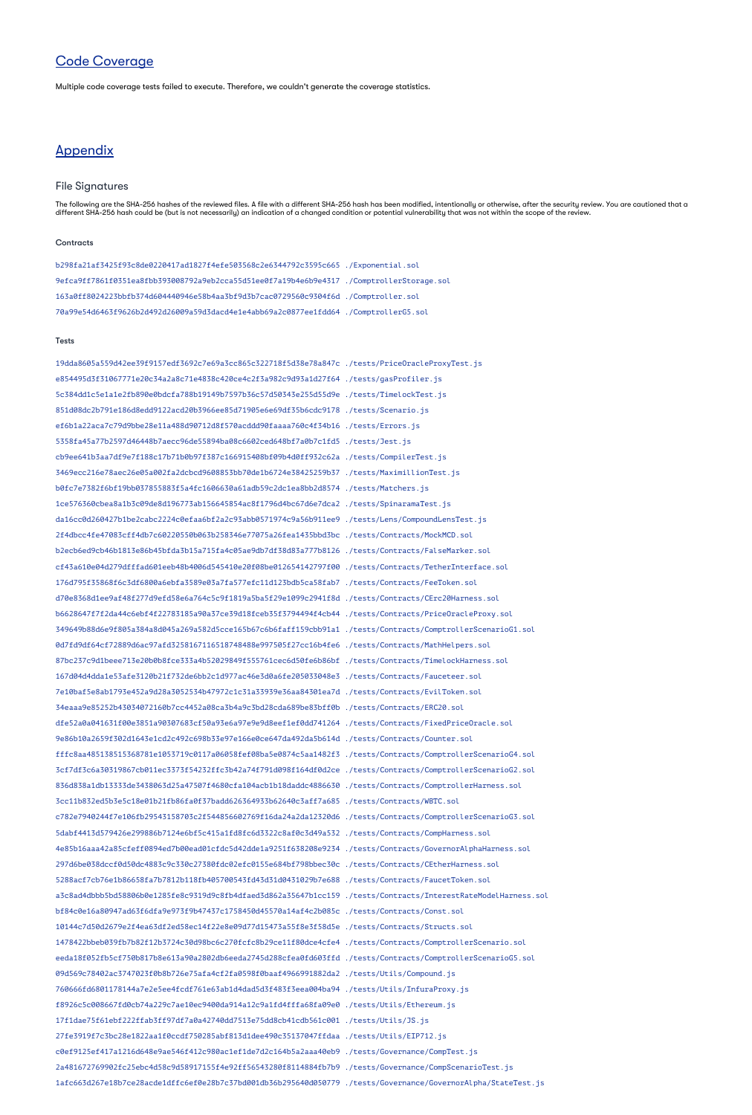# Code Coverage

Multiple code coverage tests failed to execute. Therefore, we couldn't generate the coverage statistics.

## **Appendix**

### File Signatures

The following are the SHA-256 hashes of the reviewed files. A file with a different SHA-256 hash has been modified, intentionally or otherwise, after the security review. You are cautioned that a different SHA-256 hash could be (but is not necessarily) an indication of a changed condition or potential vulnerability that was not within the scope of the review.

#### **Contracts**

b298fa21af3425f93c8de0220417ad1827f4efe503568c2e6344792c3595c665 ./Exponential.sol 9efca9ff7861f0351ea8fbb393008792a9eb2cca55d51ee0f7a19b4e6b9e4317 ./ComptrollerStorage.sol 163a0ff8024223bbfb374d604440946e58b4aa3bf9d3b7cac0729560c9304f6d ./Comptroller.sol 70a99e54d6463f9626b2d492d26009a59d3dacd4e1e4abb69a2c0877ee1fdd64 ./ComptrollerG5.sol

#### Tests

19dda8605a559d42ee39f9157edf3692c7e69a3cc865c322718f5d38e78a847c ./tests/PriceOracleProxyTest.js e854495d3f31067771e20c34a2a8c71e4838c420ce4c2f3a982c9d93a1d27f64 ./tests/gasProfiler.js 5c384dd1c5e1a1e2fb890e0bdcfa788b19149b7597b36c57d50343e255d55d9e ./tests/TimelockTest.js 851d08dc2b791e186d8edd9122acd20b3966ee85d71905e6e69df35b6cdc9178 ./tests/Scenario.js

ef6b1a22aca7c79d9bbe28e11a488d90712d8f570acddd90faaaa760c4f34b16 ./tests/Errors.js 5358fa45a77b2597d46448b7aecc96de55894ba08c6602ced648bf7a0b7c1fd5 ./tests/Jest.js cb9ee641b3aa7df9e7f188c17b71b0b97f387c166915408bf09b4d0ff932c62a ./tests/CompilerTest.js 3469ecc216e78aec26e05a002fa2dcbcd9608853bb70de1b6724e38425259b37 ./tests/MaximillionTest.js b0fc7e7382f6bf19bb037855883f5a4fc1606630a61adb59c2dc1ea8bb2d8574 ./tests/Matchers.js 1ce576360cbea8a1b3c09de8d196773ab156645854ac8f1796d4bc67d6e7dca2 ./tests/SpinaramaTest.js da16cc0d260427b1be2cabc2224c0efaa6bf2a2c93abb0571974c9a56b911ee9 ./tests/Lens/CompoundLensTest.js 2f4dbcc4fe47083cff4db7c60220550b063b258346e77075a26fea1435bbd3bc ./tests/Contracts/MockMCD.sol b2ecb6ed9cb46b1813e86b45bfda3b15a715fa4c05ae9db7df38d83a777b8126 ./tests/Contracts/FalseMarker.sol cf43a610e04d279dfffad601eeb48b4006d545410e20f08be012654142797f00 ./tests/Contracts/TetherInterface.sol 176d795f35868f6c3df6800a6ebfa3589e03a7fa577efc11d123bdb5ca58fab7 ./tests/Contracts/FeeToken.sol d70e8368d1ee9af48f277d9efd58e6a764c5c9f1819a5ba5f29e1099c2941f8d ./tests/Contracts/CErc20Harness.sol b6628647f7f2da44c6ebf4f22783185a90a37ce39d18fceb35f3794494f4cb44 ./tests/Contracts/PriceOracleProxy.sol 349649b88d6e9f805a384a8d045a269a582d5cce165b67c6b6faff159cbb91a1 ./tests/Contracts/ComptrollerScenarioG1.sol 0d7fd9df64cf72889d6ac97afd3258167116518748488e997505f27cc16b4fe6 ./tests/Contracts/MathHelpers.sol 87bc237c9d1beee713e20b0b8fce333a4b52029849f555761cec6d50fe6b86bf ./tests/Contracts/TimelockHarness.sol 167d04d4dda1e53afe3120b21f732de6bb2c1d977ac46e3d0a6fe205033048e3 ./tests/Contracts/Fauceteer.sol 7e10baf5e8ab1793e452a9d28a3052534b47972c1c31a33939e36aa84301ea7d ./tests/Contracts/EvilToken.sol 34eaaa9e85252b43034072160b7cc4452a08ca3b4a9c3bd28cda689be83bff0b ./tests/Contracts/ERC20.sol dfe52a0a041631f00e3851a90307683cf50a93e6a97e9e9d8eef1ef0dd741264 ./tests/Contracts/FixedPriceOracle.sol 9e86b10a2659f302d1643e1cd2c492c698b33e97e166e0ce647da492da5b614d ./tests/Contracts/Counter.sol fffc8aa485138515368781e1053719c0117a06058fef08ba5e0874c5aa1482f3 ./tests/Contracts/ComptrollerScenarioG4.sol 3cf7df3c6a30319867cb011ec3373f54232ffc3b42a74f791d098f164df0d2ce ./tests/Contracts/ComptrollerScenarioG2.sol 836d838a1db13333de3438063d25a47507f4680cfa104acb1b18daddc4886630 ./tests/Contracts/ComptrollerHarness.sol 3cc11b832ed5b3e5c18e01b21fb86fa0f37badd626364933b62640c3aff7a685 ./tests/Contracts/WBTC.sol c782e7940244f7e106fb29543158703c2f544856602769f16da24a2da12320d6 ./tests/Contracts/ComptrollerScenarioG3.sol 5dabf4413d579426e299886b7124e6bf5c415a1fd8fc6d3322c8af0c3d49a532 ./tests/Contracts/CompHarness.sol 4e85b16aaa42a85cfeff0894ed7b00ead01cfdc5d42dde1a9251f638208e9234 ./tests/Contracts/GovernorAlphaHarness.sol 297d6be038dccf0d50dc4883c9c330c27380fdc02efc0155e684bf798bbec30c ./tests/Contracts/CEtherHarness.sol 5288acf7cb76e1b86658fa7b7812b118fb405700543fd43d31d0431029b7e688 ./tests/Contracts/FaucetToken.sol a3c8ad4dbbb5bd58806b0e1285fe8c9319d9c8fb4dfaed3d862a35647b1cc159 ./tests/Contracts/InterestRateModelHarness.sol bf84c0e16a80947ad63f6dfa9e973f9b47437c1758450d45570a14af4c2b085c ./tests/Contracts/Const.sol 10144c7d50d2679e2f4ea63df2ed58ec14f22e8e09d77d15473a55f8e3f58d5e ./tests/Contracts/Structs.sol 1478422bbeb039fb7b82f12b3724c30d98bc6c270fcfc8b29ce11f80dce4cfe4 ./tests/Contracts/ComptrollerScenario.sol eeda18f052fb5cf750b817b8e613a90a2802db6eeda2745d288cfea0fd603ffd ./tests/Contracts/ComptrollerScenarioG5.sol 09d569c78402ac3747023f0b8b726e75afa4cf2fa0598f0baaf4966991882da2 ./tests/Utils/Compound.js 760666fd6801178144a7e2e5ee4fcdf761e63ab1d4dad5d3f483f3eea004ba94 ./tests/Utils/InfuraProxy.js f8926c5c008667fd0cb74a229c7ae10ec9400da914a12c9a1fd4fffa68fa09e0 ./tests/Utils/Ethereum.js 17f1dae75f61ebf222ffab3ff97df7a0a42740dd7513e75dd8cb41cdb561c001 ./tests/Utils/JS.js 27fe3919f7c3bc28e1822aa1f0ccdf750285abf813d1dee490c35137047ffdaa ./tests/Utils/EIP712.js c0ef9125ef417a1216d648e9ae546f412c980ac1ef1de7d2c164b5a2aaa40eb9 ./tests/Governance/CompTest.js 2a481672769902fc25ebc4d58c9d58917155f4e92ff56543280f8114884fb7b9 ./tests/Governance/CompScenarioTest.js 1afc663d267e18b7ce28acde1dffc6ef0e28b7c37bd001db36b295640d050779 ./tests/Governance/GovernorAlpha/StateTest.js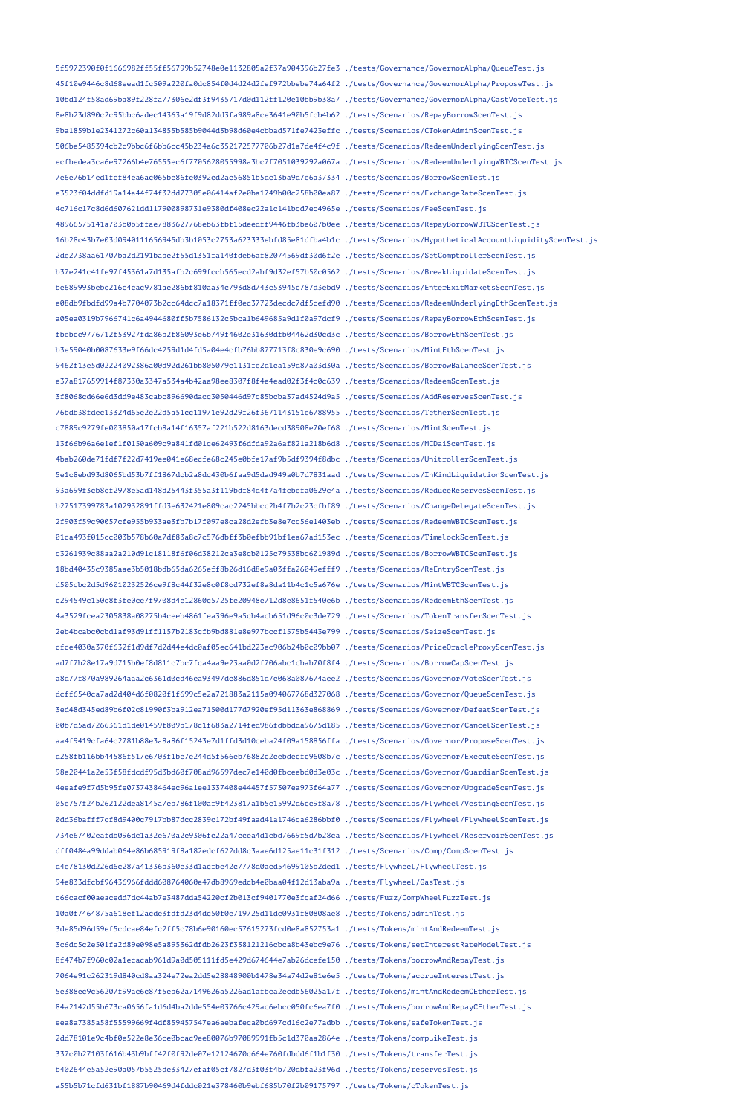5f5972390f0f1666982ff55ff56799b52748e0e1132805a2f37a904396b27fe3 ./tests/Governance/GovernorAlpha/QueueTest.js 45f10e9446c8d68eead1fc509a220fa0dc854f0d4d24d2fef972bbebe74a64f2 ./tests/Governance/GovernorAlpha/ProposeTest.js 10bd124f58ad69ba89f228fa77306e2df3f9435717d0d112ff120e10bb9b38a7 ./tests/Governance/GovernorAlpha/CastVoteTest.js 8e8b23d890c2c95bbc6adec14363a19f9d82dd3fa989a8ce3641e90b5fcb4b62 ./tests/Scenarios/RepayBorrowScenTest.js 9ba1859b1e2341272c60a134855b585b9044d3b98d60e4cbbad571fe7423effc ./tests/Scenarios/CTokenAdminScenTest.js 506be5485394cb2c9bbc6f6bb6cc45b234a6c352172577706b27d1a7de4f4c9f ./tests/Scenarios/RedeemUnderlyingScenTest.js ecfbedea3ca6e97266b4e76555ec6f7705628055998a3bc7f7051039292a067a ./tests/Scenarios/RedeemUnderlyingWBTCScenTest.js 7e6e76b14ed1fcf84ea6ac065be86fe0392cd2ac56851b5dc13ba9d7e6a37334 ./tests/Scenarios/BorrowScenTest.js e3523f04ddfd19a14a44f74f32dd77305e06414af2e0ba1749b00c258b00ea87 ./tests/Scenarios/ExchangeRateScenTest.js 4c716c17c8d6d607621dd117900898731e9380df408ec22a1c141bcd7ec4965e ./tests/Scenarios/FeeScenTest.js 48966575141a703b0b5ffae7883627768eb63fbf15deedff9446fb3be607b0ee ./tests/Scenarios/RepayBorrowWBTCScenTest.js 16b28c43b7e03d0940111656945db3b1053c2753a623333ebfd85e81dfba4b1c ./tests/Scenarios/HypotheticalAccountLiquidityScenTest.js 2de2738aa61707ba2d2191babe2f55d1351fa140fdeb6af82074569df30d6f2e ./tests/Scenarios/SetComptrollerScenTest.js b37e241c41fe97f45361a7d135afb2c699fccb565ecd2abf9d32ef57b50c0562 ./tests/Scenarios/BreakLiquidateScenTest.js be689993bebc216c4cac9781ae286bf810aa34c793d8d743c53945c787d3ebd9 ./tests/Scenarios/EnterExitMarketsScenTest.js e08db9fbdfd99a4b7704073b2cc64dcc7a18371ff0ec37723decdc7df5cefd90 ./tests/Scenarios/RedeemUnderlyingEthScenTest.js a05ea0319b7966741c6a4944680ff5b7586132c5bca1b649685a9d1f0a97dcf9 ./tests/Scenarios/RepayBorrowEthScenTest.js fbebcc9776712f53927fda86b2f86093e6b749f4602e31630dfb04462d30cd3c ./tests/Scenarios/BorrowEthScenTest.js b3e59040b0087633e9f66dc4259d1d4fd5a04e4cfb76bb877713f8c830e9c690 ./tests/Scenarios/MintEthScenTest.js 9462f13e5d02224092386a00d92d261bb805079c1131fe2d1ca159d87a03d30a ./tests/Scenarios/BorrowBalanceScenTest.js e37a817659914f87330a3347a534a4b42aa98ee8307f8f4e4ead02f3f4c0c639 ./tests/Scenarios/RedeemScenTest.js 3f8068cd66e6d3dd9e483cabc896690dacc3050446d97c85bcba37ad4524d9a5 ./tests/Scenarios/AddReservesScenTest.js 76bdb38fdec13324d65e2e22d5a51cc11971e92d29f26f3671143151e6788955 ./tests/Scenarios/TetherScenTest.js c7889c9279fe003850a17fcb8a14f16357af221b522d8163decd38908e70ef68 ./tests/Scenarios/MintScenTest.js 13f66b96a6e1ef1f0150a609c9a841fd01ce62493f6dfda92a6af821a218b6d8 ./tests/Scenarios/MCDaiScenTest.js 4bab260de71fdf7f22d7419ee041e68ecfe68c245e0bfe17af9b5df9394f8dbc ./tests/Scenarios/UnitrollerScenTest.js 5e1c8ebd93d8065bd53b7ff1867dcb2a8dc430b6faa9d5dad949a0b7d7831aad ./tests/Scenarios/InKindLiquidationScenTest.js 93a699f3cb8cf2978e5ad148d25443f355a3f119bdf84d4f7a4fcbefa0629c4a ./tests/Scenarios/ReduceReservesScenTest.js b27517399783a102932891ffd3e632421e809cac2245bbcc2b4f7b2c23cfbf89 ./tests/Scenarios/ChangeDelegateScenTest.js 2f903f59c90057cfe955b933ae3fb7b17f097e8ca28d2efb3e8e7cc56e1403eb ./tests/Scenarios/RedeemWBTCScenTest.js 01ca493f015cc003b578b60a7df83a8c7c576dbff3b0efbb91bf1ea67ad153ec ./tests/Scenarios/TimelockScenTest.js c3261939c88aa2a210d91c18118f6f06d38212ca3e8cb0125c79538bc601989d ./tests/Scenarios/BorrowWBTCScenTest.js 18bd40435c9385aae3b5018bdb65da6265eff8b26d16d8e9a03ffa26049efff9 ./tests/Scenarios/ReEntryScenTest.js d505cbc2d5d96010232526ce9f8c44f32e8c0f8cd732ef8a8da11b4c1c5a676e ./tests/Scenarios/MintWBTCScenTest.js c294549c150c8f3fe0ce7f9708d4e12860c5725fe20948e712d8e8651f540e6b ./tests/Scenarios/RedeemEthScenTest.js 4a3529fcea2305838a08275b4ceeb4861fea396e9a5cb4acb651d96c0c3de729 ./tests/Scenarios/TokenTransferScenTest.js 2eb4bcabc0cbd1af93d91ff1157b2183cfb9bd881e8e977bccf1575b5443e799 ./tests/Scenarios/SeizeScenTest.js cfce4030a370f632f1d9df7d2d44e4dc0af05ec641bd223ec906b24b0c09bb07 ./tests/Scenarios/PriceOracleProxyScenTest.js ad7f7b28e17a9d715b0ef8d811c7bc7fca4aa9e23aa0d2f706abc1cbab70f8f4 ./tests/Scenarios/BorrowCapScenTest.js a8d77f870a989264aaa2c6361d0cd46ea93497dc886d851d7c068a087674aee2 ./tests/Scenarios/Governor/VoteScenTest.js dcff6540ca7ad2d404d6f0820f1f699c5e2a721883a2115a094067768d327068 ./tests/Scenarios/Governor/QueueScenTest.js 3ed48d345ed89b6f02c81990f3ba912ea71500d177d7920ef95d11363e868869 ./tests/Scenarios/Governor/DefeatScenTest.js 00b7d5ad7266361d1de01459f809b178c1f683a2714fed986fdbbdda9675d185 ./tests/Scenarios/Governor/CancelScenTest.js aa4f9419cfa64c2781b88e3a8a86f15243e7d1ffd3d10ceba24f09a158856ffa ./tests/Scenarios/Governor/ProposeScenTest.js d258fb116bb44586f517e6703f1be7e244d5f566eb76882c2cebdecfc9608b7c ./tests/Scenarios/Governor/ExecuteScenTest.js 98e20441a2e53f58fdcdf95d3bd60f708ad96597dec7e140d0fbceebd0d3e03c ./tests/Scenarios/Governor/GuardianScenTest.js 4eeafe9f7d5b95fe0737438464ec96a1ee1337408e44457f57307ea973f64a77 ./tests/Scenarios/Governor/UpgradeScenTest.js 05e757f24b262122dea8145a7eb786f100af9f423817a1b5c15992d6cc9f8a78 ./tests/Scenarios/Flywheel/VestingScenTest.js 0dd36bafff7cf8d9400c7917bb87dcc2839c172bf49faad41a1746ca6286bbf0 ./tests/Scenarios/Flywheel/FlywheelScenTest.js 734e67402eafdb096dc1a32e670a2e9306fc22a47ccea4d1cbd7669f5d7b28ca ./tests/Scenarios/Flywheel/ReservoirScenTest.js dff0484a99ddab064e86b685919f8a182edcf622dd8c3aae6d125ae11c31f312 ./tests/Scenarios/Comp/CompScenTest.js d4e78130d226d6c287a41336b360e33d1acfbe42c7778d0acd54699105b2ded1 ./tests/Flywheel/FlywheelTest.js 94e833dfcbf96436966fddd608764060e47db8969edcb4e0baa04f12d13aba9a ./tests/Flywheel/GasTest.js c66cacf00aeacedd7dc44ab7e3487dda54220cf2b013cf9401770e3fcaf24d66 ./tests/Fuzz/CompWheelFuzzTest.js 10a0f7464875a618ef12acde3fdfd23d4dc50f0e719725d11dc0931f80808ae8 ./tests/Tokens/adminTest.js 3de85d96d59ef5cdcae84efc2ff5c78b6e90160ec57615273fcd0e8a852753a1 ./tests/Tokens/mintAndRedeemTest.js 3c6dc5c2e501fa2d89e098e5a895362dfdb2623f338121216cbca8b43ebc9e76 ./tests/Tokens/setInterestRateModelTest.js 8f474b7f960c02a1ecacab961d9a0d505111fd5e429d674644e7ab26dcefe150 ./tests/Tokens/borrowAndRepayTest.js 7064e91c262319d840cd8aa324e72ea2dd5e28848900b1478e34a74d2e81e6e5 ./tests/Tokens/accrueInterestTest.js 5e388ec9c56207f99ac6c87f5eb62a7149626a5226ad1afbca2ecdb56025a17f ./tests/Tokens/mintAndRedeemCEtherTest.js 84a2142d55b673ca0656fa1d6d4ba2dde554e03766c429ac6ebcc050fc6ea7f0 ./tests/Tokens/borrowAndRepayCEtherTest.js eea8a7385a58f55599669f4df859457547ea6aebafeca0bd697cd16c2e77adbb ./tests/Tokens/safeTokenTest.js 2dd78101e9c4bf0e522e8e36ce0bcac9ee80076b97089991fb5c1d370aa2864e ./tests/Tokens/compLikeTest.js 337c0b27103f616b43b9bff42f0f92de07e12124670c664e760fdbdd6f1b1f30 ./tests/Tokens/transferTest.js b402644e5a52e90a057b5525de33427efaf05cf7827d3f03f4b720dbfa23f96d ./tests/Tokens/reservesTest.js a55b5b71cfd631bf1887b90469d4fddc021e378460b9ebf685b70f2b09175797 ./tests/Tokens/cTokenTest.js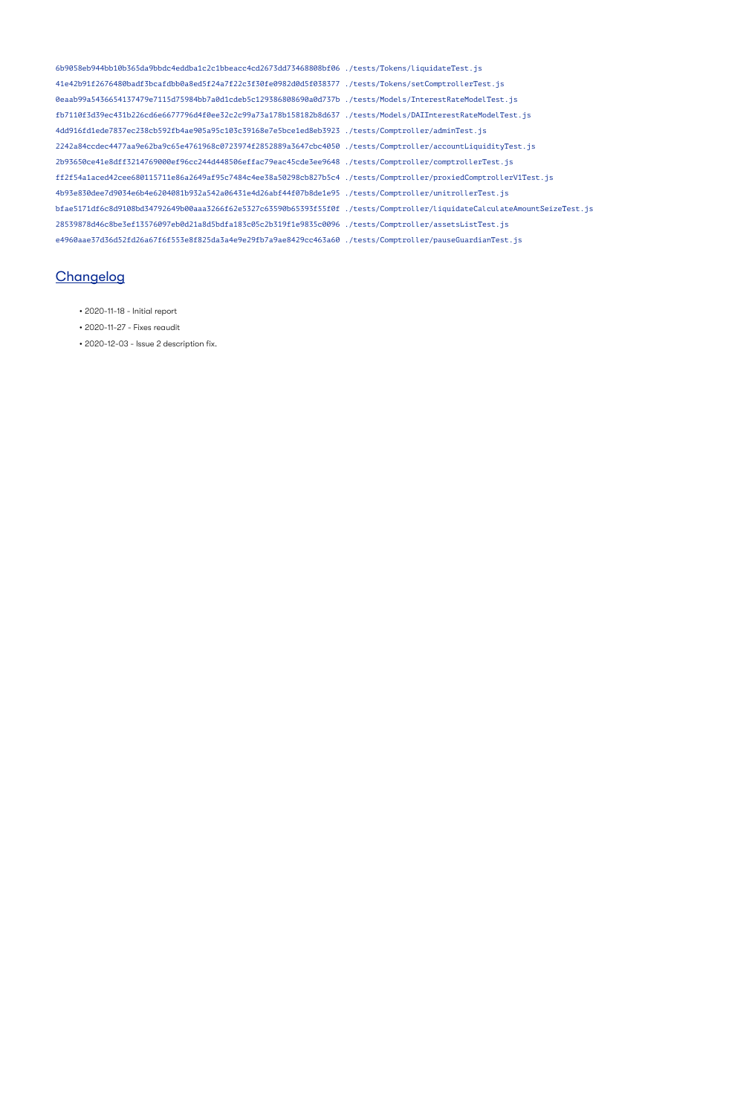6b9058eb944bb10b365da9bbdc4eddba1c2c1bbeacc4cd2673dd73468808bf06 ./tests/Tokens/liquidateTest.js 41e42b91f2676480badf3bcafdbb0a8ed5f24a7f22c3f30fe0982d0d5f038377 ./tests/Tokens/setComptrollerTest.js 0eaab99a5436654137479e7115d75984bb7a0d1cdeb5c129386808690a0d737b ./tests/Models/InterestRateModelTest.js fb7110f3d39ec431b226cd6e6677796d4f0ee32c2c99a73a178b158182b8d637 ./tests/Models/DAIInterestRateModelTest.js 4dd916fd1ede7837ec238cb592fb4ae905a95c103c39168e7e5bce1ed8eb3923 ./tests/Comptroller/adminTest.js 2242a84ccdec4477aa9e62ba9c65e4761968c0723974f2852889a3647cbc4050 ./tests/Comptroller/accountLiquidityTest.js 2b93650ce41e8dff3214769000ef96cc244d448506effac79eac45cde3ee9648 ./tests/Comptroller/comptrollerTest.js ff2f54a1aced42cee680115711e86a2649af95c7484c4ee38a50298cb827b5c4 ./tests/Comptroller/proxiedComptrollerV1Test.js 4b93e830dee7d9034e6b4e6204081b932a542a06431e4d26abf44f07b8de1e95 ./tests/Comptroller/unitrollerTest.js bfae5171df6c8d9108bd34792649b00aaa3266f62e5327c63590b65393f55f0f ./tests/Comptroller/liquidateCalculateAmountSeizeTest.js 28539878d46c8be3ef13576097eb0d21a8d5bdfa183c05c2b319f1e9835c0096 ./tests/Comptroller/assetsListTest.js e4960aae37d36d52fd26a67f6f553e8f825da3a4e9e29fb7a9ae8429cc463a60 ./tests/Comptroller/pauseGuardianTest.js

### **Changelog**

- 2020-11-18 Initial report
- 2020-11-27 Fixes reaudit
- 2020-12-03 Issue 2 description fix.